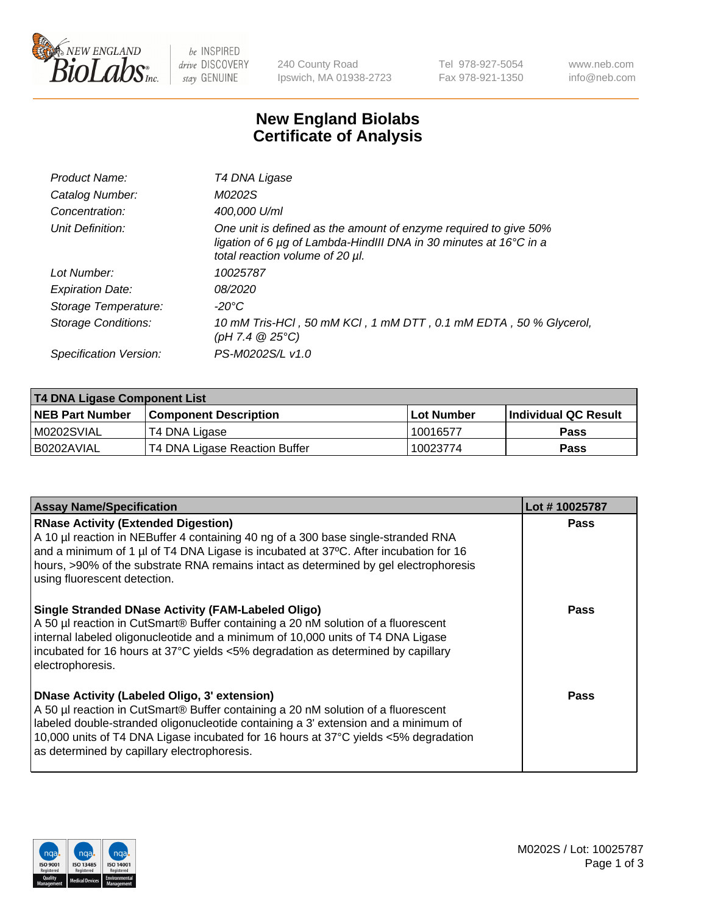

be INSPIRED drive DISCOVERY stay GENUINE

240 County Road Ipswich, MA 01938-2723 Tel 978-927-5054 Fax 978-921-1350 www.neb.com info@neb.com

## **New England Biolabs Certificate of Analysis**

| Product Name:              | T4 DNA Ligase                                                                                                                                                                           |
|----------------------------|-----------------------------------------------------------------------------------------------------------------------------------------------------------------------------------------|
| Catalog Number:            | M0202S                                                                                                                                                                                  |
| Concentration:             | 400,000 U/ml                                                                                                                                                                            |
| Unit Definition:           | One unit is defined as the amount of enzyme required to give 50%<br>ligation of 6 $\mu$ g of Lambda-HindIII DNA in 30 minutes at 16 $\degree$ C in a<br>total reaction volume of 20 µl. |
| Lot Number:                | 10025787                                                                                                                                                                                |
| <b>Expiration Date:</b>    | 08/2020                                                                                                                                                                                 |
| Storage Temperature:       | $-20^{\circ}$ C                                                                                                                                                                         |
| <b>Storage Conditions:</b> | 10 mM Tris-HCl, 50 mM KCl, 1 mM DTT, 0.1 mM EDTA, 50 % Glycerol,<br>(pH 7.4 $@25°C$ )                                                                                                   |
| Specification Version:     | PS-M0202S/L v1.0                                                                                                                                                                        |

| <b>T4 DNA Ligase Component List</b> |                               |            |                             |  |
|-------------------------------------|-------------------------------|------------|-----------------------------|--|
| <b>NEB Part Number</b>              | <b>Component Description</b>  | Lot Number | <b>Individual QC Result</b> |  |
| M0202SVIAL                          | T4 DNA Ligase                 | 10016577   | <b>Pass</b>                 |  |
| I B0202AVIAL                        | T4 DNA Ligase Reaction Buffer | 10023774   | <b>Pass</b>                 |  |

| <b>Assay Name/Specification</b>                                                                                                                                                                                                                                                                                                                                      | Lot #10025787 |
|----------------------------------------------------------------------------------------------------------------------------------------------------------------------------------------------------------------------------------------------------------------------------------------------------------------------------------------------------------------------|---------------|
| <b>RNase Activity (Extended Digestion)</b><br>A 10 µl reaction in NEBuffer 4 containing 40 ng of a 300 base single-stranded RNA<br>and a minimum of 1 µl of T4 DNA Ligase is incubated at 37°C. After incubation for 16<br>hours, >90% of the substrate RNA remains intact as determined by gel electrophoresis<br>using fluorescent detection.                      | <b>Pass</b>   |
| <b>Single Stranded DNase Activity (FAM-Labeled Oligo)</b><br>A 50 µl reaction in CutSmart® Buffer containing a 20 nM solution of a fluorescent<br>internal labeled oligonucleotide and a minimum of 10,000 units of T4 DNA Ligase<br>incubated for 16 hours at 37°C yields <5% degradation as determined by capillary<br>electrophoresis.                            | Pass          |
| <b>DNase Activity (Labeled Oligo, 3' extension)</b><br>A 50 µl reaction in CutSmart® Buffer containing a 20 nM solution of a fluorescent<br>labeled double-stranded oligonucleotide containing a 3' extension and a minimum of<br>10,000 units of T4 DNA Ligase incubated for 16 hours at 37°C yields <5% degradation<br>as determined by capillary electrophoresis. | Pass          |

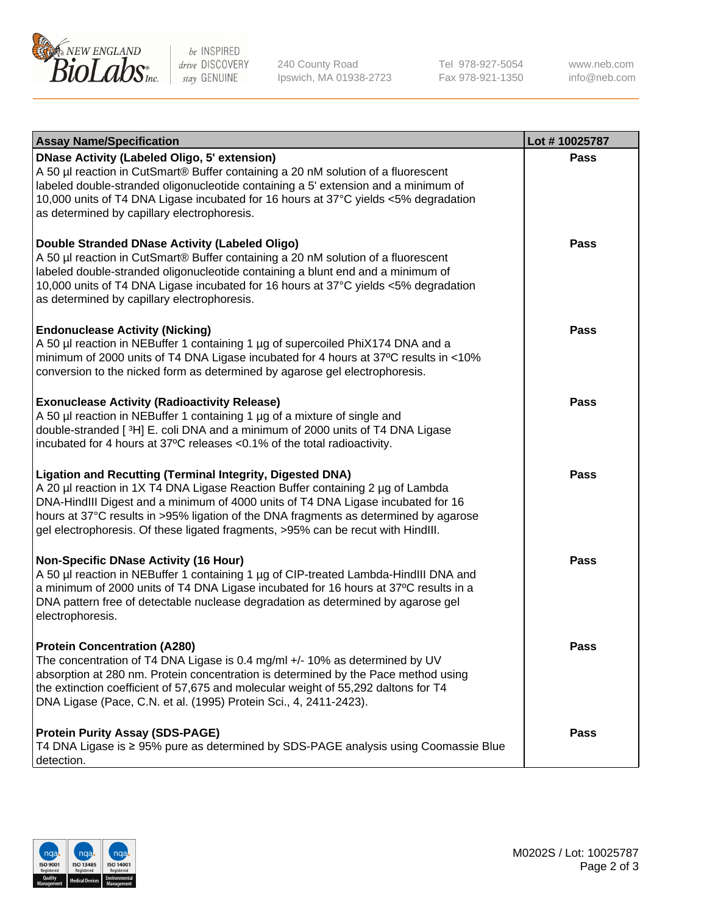

be INSPIRED drive DISCOVERY stay GENUINE

240 County Road Ipswich, MA 01938-2723 Tel 978-927-5054 Fax 978-921-1350

www.neb.com info@neb.com

| <b>Assay Name/Specification</b>                                                                                                                                                                                                                                                                                                                                                                                    | Lot #10025787 |
|--------------------------------------------------------------------------------------------------------------------------------------------------------------------------------------------------------------------------------------------------------------------------------------------------------------------------------------------------------------------------------------------------------------------|---------------|
| <b>DNase Activity (Labeled Oligo, 5' extension)</b><br>A 50 µl reaction in CutSmart® Buffer containing a 20 nM solution of a fluorescent<br>labeled double-stranded oligonucleotide containing a 5' extension and a minimum of<br>10,000 units of T4 DNA Ligase incubated for 16 hours at 37°C yields <5% degradation<br>as determined by capillary electrophoresis.                                               | <b>Pass</b>   |
| <b>Double Stranded DNase Activity (Labeled Oligo)</b><br>A 50 µl reaction in CutSmart® Buffer containing a 20 nM solution of a fluorescent<br>labeled double-stranded oligonucleotide containing a blunt end and a minimum of<br>10,000 units of T4 DNA Ligase incubated for 16 hours at 37°C yields <5% degradation<br>as determined by capillary electrophoresis.                                                | <b>Pass</b>   |
| <b>Endonuclease Activity (Nicking)</b><br>A 50 µl reaction in NEBuffer 1 containing 1 µg of supercoiled PhiX174 DNA and a<br>minimum of 2000 units of T4 DNA Ligase incubated for 4 hours at 37°C results in <10%<br>conversion to the nicked form as determined by agarose gel electrophoresis.                                                                                                                   | <b>Pass</b>   |
| <b>Exonuclease Activity (Radioactivity Release)</b><br>A 50 µl reaction in NEBuffer 1 containing 1 µg of a mixture of single and<br>double-stranded [3H] E. coli DNA and a minimum of 2000 units of T4 DNA Ligase<br>incubated for 4 hours at 37°C releases <0.1% of the total radioactivity.                                                                                                                      | Pass          |
| <b>Ligation and Recutting (Terminal Integrity, Digested DNA)</b><br>A 20 µl reaction in 1X T4 DNA Ligase Reaction Buffer containing 2 µg of Lambda<br>DNA-HindIII Digest and a minimum of 4000 units of T4 DNA Ligase incubated for 16<br>hours at 37°C results in >95% ligation of the DNA fragments as determined by agarose<br>gel electrophoresis. Of these ligated fragments, >95% can be recut with HindIII. | <b>Pass</b>   |
| <b>Non-Specific DNase Activity (16 Hour)</b><br>A 50 µl reaction in NEBuffer 1 containing 1 µg of CIP-treated Lambda-HindIII DNA and<br>a minimum of 2000 units of T4 DNA Ligase incubated for 16 hours at 37°C results in a<br>DNA pattern free of detectable nuclease degradation as determined by agarose gel<br>electrophoresis.                                                                               | <b>Pass</b>   |
| <b>Protein Concentration (A280)</b><br>The concentration of T4 DNA Ligase is 0.4 mg/ml +/- 10% as determined by UV<br>absorption at 280 nm. Protein concentration is determined by the Pace method using<br>the extinction coefficient of 57,675 and molecular weight of 55,292 daltons for T4<br>DNA Ligase (Pace, C.N. et al. (1995) Protein Sci., 4, 2411-2423).                                                | Pass          |
| <b>Protein Purity Assay (SDS-PAGE)</b><br>T4 DNA Ligase is ≥ 95% pure as determined by SDS-PAGE analysis using Coomassie Blue<br>detection.                                                                                                                                                                                                                                                                        | Pass          |